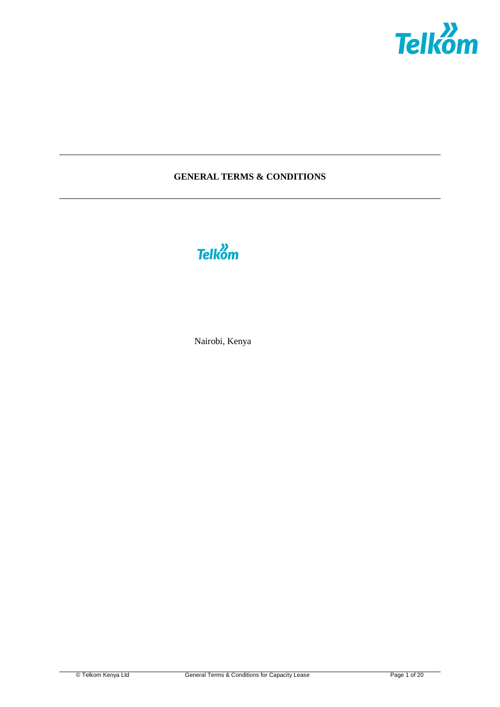

# **GENERAL TERMS & CONDITIONS**



Nairobi, Kenya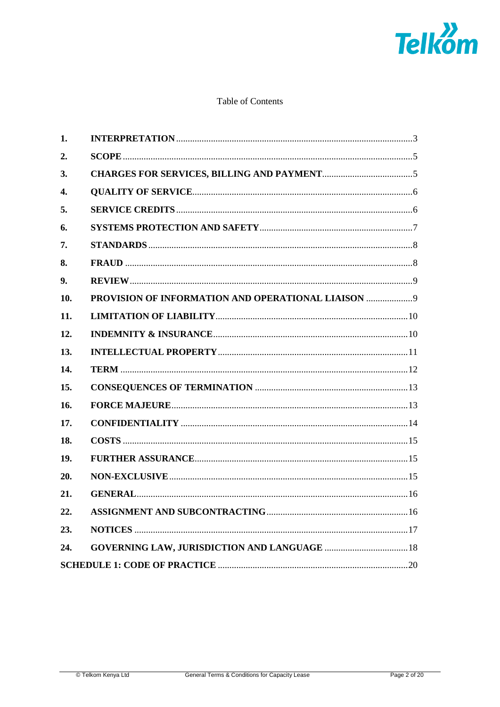

# Table of Contents

| 1.  |                                                    |  |
|-----|----------------------------------------------------|--|
| 2.  |                                                    |  |
| 3.  |                                                    |  |
| 4.  |                                                    |  |
| 5.  |                                                    |  |
| 6.  |                                                    |  |
| 7.  |                                                    |  |
| 8.  |                                                    |  |
| 9.  |                                                    |  |
| 10. | PROVISION OF INFORMATION AND OPERATIONAL LIAISON 9 |  |
| 11. |                                                    |  |
| 12. |                                                    |  |
| 13. |                                                    |  |
| 14. |                                                    |  |
| 15. |                                                    |  |
| 16. |                                                    |  |
| 17. |                                                    |  |
| 18. |                                                    |  |
| 19. |                                                    |  |
| 20. |                                                    |  |
| 21. |                                                    |  |
| 22. |                                                    |  |
| 23. |                                                    |  |
| 24. |                                                    |  |
|     |                                                    |  |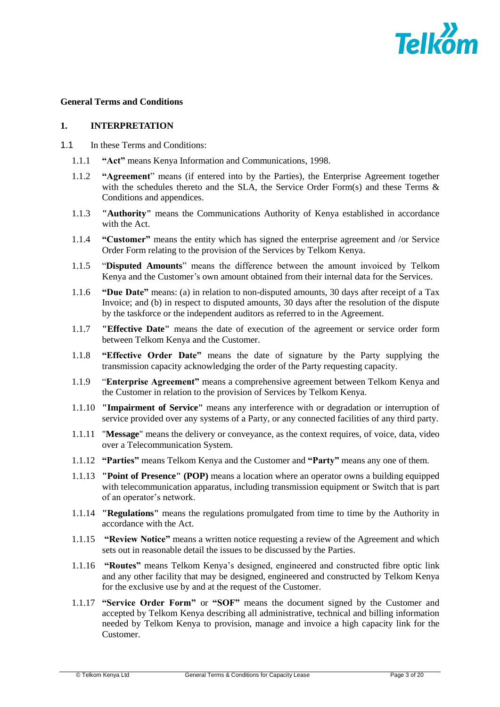

#### **General Terms and Conditions**

#### **1. INTERPRETATION**

- 1.1 In these Terms and Conditions:
	- 1.1.1 **"Act"** means Kenya Information and Communications, 1998.
	- 1.1.2 **"Agreement**" means (if entered into by the Parties), the Enterprise Agreement together with the schedules thereto and the SLA, the Service Order Form(s) and these Terms & Conditions and appendices.
	- 1.1.3 **"Authority"** means the Communications Authority of Kenya established in accordance with the Act.
	- 1.1.4 **"Customer"** means the entity which has signed the enterprise agreement and /or Service Order Form relating to the provision of the Services by Telkom Kenya.
	- 1.1.5 "**Disputed Amounts**" means the difference between the amount invoiced by Telkom Kenya and the Customer's own amount obtained from their internal data for the Services.
	- 1.1.6 **"Due Date"** means: (a) in relation to non-disputed amounts, 30 days after receipt of a Tax Invoice; and (b) in respect to disputed amounts, 30 days after the resolution of the dispute by the taskforce or the independent auditors as referred to in the Agreement.
	- 1.1.7 **"Effective Date"** means the date of execution of the agreement or service order form between Telkom Kenya and the Customer.
	- 1.1.8 **"Effective Order Date"** means the date of signature by the Party supplying the transmission capacity acknowledging the order of the Party requesting capacity.
	- 1.1.9 "**Enterprise Agreement"** means a comprehensive agreement between Telkom Kenya and the Customer in relation to the provision of Services by Telkom Kenya.
	- 1.1.10 **"Impairment of Service"** means any interference with or degradation or interruption of service provided over any systems of a Party, or any connected facilities of any third party.
	- 1.1.11 "**Message**" means the delivery or conveyance, as the context requires, of voice, data, video over a Telecommunication System.
	- 1.1.12 **"Parties"** means Telkom Kenya and the Customer and **"Party"** means any one of them.
	- 1.1.13 **"Point of Presence" (POP)** means a location where an operator owns a building equipped with telecommunication apparatus, including transmission equipment or Switch that is part of an operator's network.
	- 1.1.14 **"Regulations"** means the regulations promulgated from time to time by the Authority in accordance with the Act.
	- 1.1.15 **"Review Notice"** means a written notice requesting a review of the Agreement and which sets out in reasonable detail the issues to be discussed by the Parties.
	- 1.1.16 **"Routes"** means Telkom Kenya's designed, engineered and constructed fibre optic link and any other facility that may be designed, engineered and constructed by Telkom Kenya for the exclusive use by and at the request of the Customer.
	- 1.1.17 **"Service Order Form"** or **"SOF"** means the document signed by the Customer and accepted by Telkom Kenya describing all administrative, technical and billing information needed by Telkom Kenya to provision, manage and invoice a high capacity link for the Customer.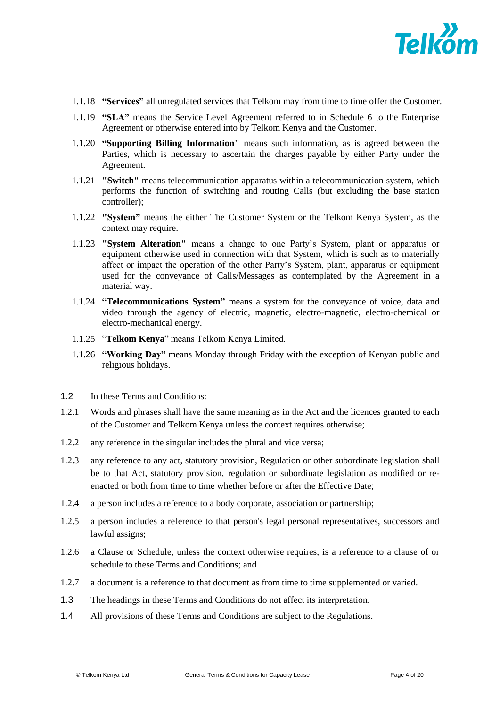

- 1.1.18 **"Services"** all unregulated services that Telkom may from time to time offer the Customer.
- 1.1.19 **"SLA"** means the Service Level Agreement referred to in Schedule 6 to the Enterprise Agreement or otherwise entered into by Telkom Kenya and the Customer.
- 1.1.20 **"Supporting Billing Information"** means such information, as is agreed between the Parties, which is necessary to ascertain the charges payable by either Party under the Agreement.
- 1.1.21 **"Switch"** means telecommunication apparatus within a telecommunication system, which performs the function of switching and routing Calls (but excluding the base station controller);
- 1.1.22 **"System"** means the either The Customer System or the Telkom Kenya System, as the context may require.
- 1.1.23 **"System Alteration"** means a change to one Party's System, plant or apparatus or equipment otherwise used in connection with that System, which is such as to materially affect or impact the operation of the other Party's System, plant, apparatus or equipment used for the conveyance of Calls/Messages as contemplated by the Agreement in a material way.
- 1.1.24 **"Telecommunications System"** means a system for the conveyance of voice, data and video through the agency of electric, magnetic, electro-magnetic, electro-chemical or electro-mechanical energy.
- 1.1.25 "**Telkom Kenya**" means Telkom Kenya Limited.
- 1.1.26 **"Working Day"** means Monday through Friday with the exception of Kenyan public and religious holidays.
- 1.2 In these Terms and Conditions:
- 1.2.1 Words and phrases shall have the same meaning as in the Act and the licences granted to each of the Customer and Telkom Kenya unless the context requires otherwise;
- 1.2.2 any reference in the singular includes the plural and vice versa;
- 1.2.3 any reference to any act, statutory provision, Regulation or other subordinate legislation shall be to that Act, statutory provision, regulation or subordinate legislation as modified or reenacted or both from time to time whether before or after the Effective Date;
- 1.2.4 a person includes a reference to a body corporate, association or partnership;
- 1.2.5 a person includes a reference to that person's legal personal representatives, successors and lawful assigns;
- 1.2.6 a Clause or Schedule, unless the context otherwise requires, is a reference to a clause of or schedule to these Terms and Conditions; and
- 1.2.7 a document is a reference to that document as from time to time supplemented or varied.
- 1.3 The headings in these Terms and Conditions do not affect its interpretation.
- 1.4 All provisions of these Terms and Conditions are subject to the Regulations.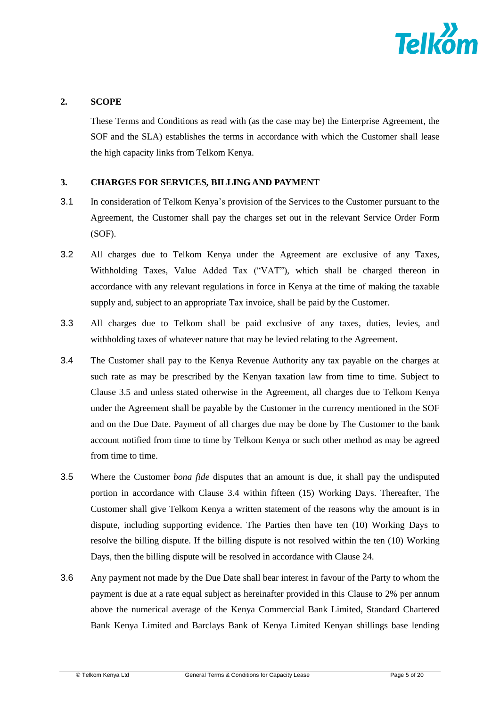

## **2. SCOPE**

These Terms and Conditions as read with (as the case may be) the Enterprise Agreement, the SOF and the SLA) establishes the terms in accordance with which the Customer shall lease the high capacity links from Telkom Kenya.

### <span id="page-4-1"></span>**3. CHARGES FOR SERVICES, BILLING AND PAYMENT**

- 3.1 In consideration of Telkom Kenya's provision of the Services to the Customer pursuant to the Agreement, the Customer shall pay the charges set out in the relevant Service Order Form (SOF).
- 3.2 All charges due to Telkom Kenya under the Agreement are exclusive of any Taxes, Withholding Taxes, Value Added Tax ("VAT"), which shall be charged thereon in accordance with any relevant regulations in force in Kenya at the time of making the taxable supply and, subject to an appropriate Tax invoice, shall be paid by the Customer.
- 3.3 All charges due to Telkom shall be paid exclusive of any taxes, duties, levies, and withholding taxes of whatever nature that may be levied relating to the Agreement.
- <span id="page-4-0"></span>3.4 The Customer shall pay to the Kenya Revenue Authority any tax payable on the charges at such rate as may be prescribed by the Kenyan taxation law from time to time. Subject to Clause 3.5 and unless stated otherwise in the Agreement, all charges due to Telkom Kenya under the Agreement shall be payable by the Customer in the currency mentioned in the SOF and on the Due Date. Payment of all charges due may be done by The Customer to the bank account notified from time to time by Telkom Kenya or such other method as may be agreed from time to time.
- 3.5 Where the Customer *bona fide* disputes that an amount is due, it shall pay the undisputed portion in accordance with Clause [3.4](#page-4-0) within fifteen (15) Working Days. Thereafter, The Customer shall give Telkom Kenya a written statement of the reasons why the amount is in dispute, including supporting evidence. The Parties then have ten (10) Working Days to resolve the billing dispute. If the billing dispute is not resolved within the ten (10) Working Days, then the billing dispute will be resolved in accordance with Clause [24.](#page-17-0)
- 3.6 Any payment not made by the Due Date shall bear interest in favour of the Party to whom the payment is due at a rate equal subject as hereinafter provided in this Clause to 2% per annum above the numerical average of the Kenya Commercial Bank Limited, Standard Chartered Bank Kenya Limited and Barclays Bank of Kenya Limited Kenyan shillings base lending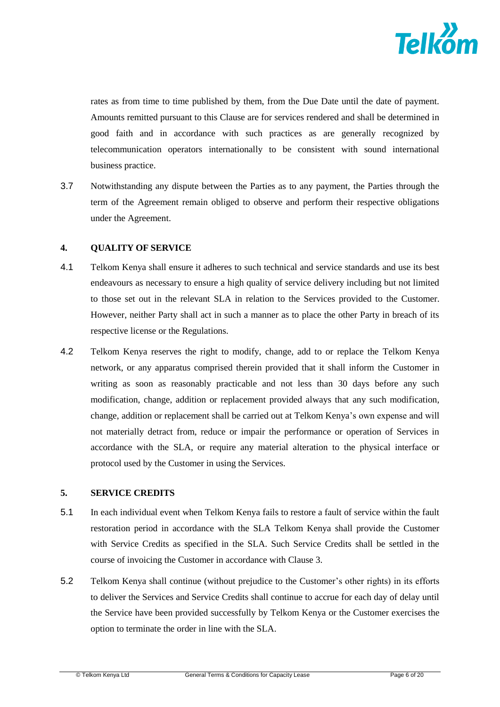

rates as from time to time published by them, from the Due Date until the date of payment. Amounts remitted pursuant to this Clause are for services rendered and shall be determined in good faith and in accordance with such practices as are generally recognized by telecommunication operators internationally to be consistent with sound international business practice.

3.7 Notwithstanding any dispute between the Parties as to any payment, the Parties through the term of the Agreement remain obliged to observe and perform their respective obligations under the Agreement.

### **4. QUALITY OF SERVICE**

- 4.1 Telkom Kenya shall ensure it adheres to such technical and service standards and use its best endeavours as necessary to ensure a high quality of service delivery including but not limited to those set out in the relevant SLA in relation to the Services provided to the Customer. However, neither Party shall act in such a manner as to place the other Party in breach of its respective license or the Regulations.
- 4.2 Telkom Kenya reserves the right to modify, change, add to or replace the Telkom Kenya network, or any apparatus comprised therein provided that it shall inform the Customer in writing as soon as reasonably practicable and not less than 30 days before any such modification, change, addition or replacement provided always that any such modification, change, addition or replacement shall be carried out at Telkom Kenya's own expense and will not materially detract from, reduce or impair the performance or operation of Services in accordance with the SLA, or require any material alteration to the physical interface or protocol used by the Customer in using the Services.

### **5. SERVICE CREDITS**

- 5.1 In each individual event when Telkom Kenya fails to restore a fault of service within the fault restoration period in accordance with the SLA Telkom Kenya shall provide the Customer with Service Credits as specified in the SLA. Such Service Credits shall be settled in the course of invoicing the Customer in accordance with Clause 3.
- 5.2 Telkom Kenya shall continue (without prejudice to the Customer's other rights) in its efforts to deliver the Services and Service Credits shall continue to accrue for each day of delay until the Service have been provided successfully by Telkom Kenya or the Customer exercises the option to terminate the order in line with the SLA.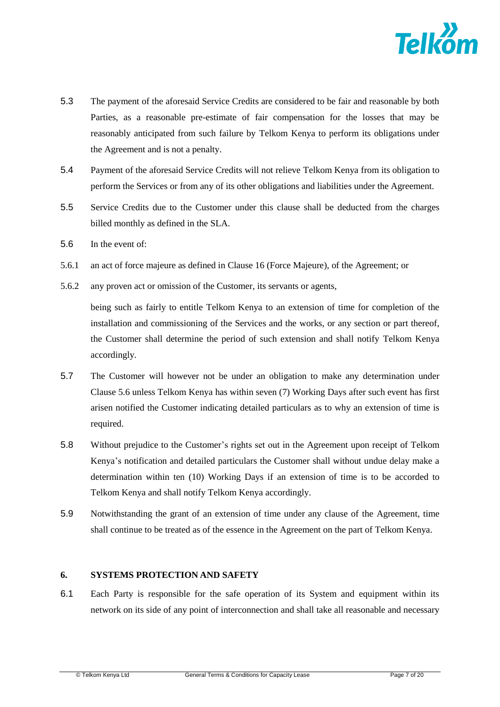

- 5.3 The payment of the aforesaid Service Credits are considered to be fair and reasonable by both Parties, as a reasonable pre-estimate of fair compensation for the losses that may be reasonably anticipated from such failure by Telkom Kenya to perform its obligations under the Agreement and is not a penalty.
- 5.4 Payment of the aforesaid Service Credits will not relieve Telkom Kenya from its obligation to perform the Services or from any of its other obligations and liabilities under the Agreement.
- 5.5 Service Credits due to the Customer under this clause shall be deducted from the charges billed monthly as defined in the SLA.
- 5.6 In the event of:
- 5.6.1 an act of force majeure as defined in Clause [16](#page-12-0) (Force Majeure), of the Agreement; or
- 5.6.2 any proven act or omission of the Customer, its servants or agents,

being such as fairly to entitle Telkom Kenya to an extension of time for completion of the installation and commissioning of the Services and the works, or any section or part thereof, the Customer shall determine the period of such extension and shall notify Telkom Kenya accordingly.

- 5.7 The Customer will however not be under an obligation to make any determination under Clause 5.6 unless Telkom Kenya has within seven (7) Working Days after such event has first arisen notified the Customer indicating detailed particulars as to why an extension of time is required.
- 5.8 Without prejudice to the Customer's rights set out in the Agreement upon receipt of Telkom Kenya's notification and detailed particulars the Customer shall without undue delay make a determination within ten (10) Working Days if an extension of time is to be accorded to Telkom Kenya and shall notify Telkom Kenya accordingly.
- 5.9 Notwithstanding the grant of an extension of time under any clause of the Agreement, time shall continue to be treated as of the essence in the Agreement on the part of Telkom Kenya.

### **6. SYSTEMS PROTECTION AND SAFETY**

6.1 Each Party is responsible for the safe operation of its System and equipment within its network on its side of any point of interconnection and shall take all reasonable and necessary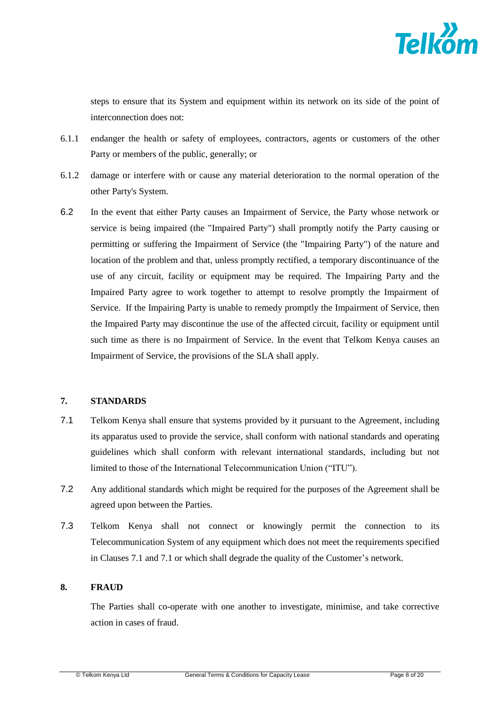

steps to ensure that its System and equipment within its network on its side of the point of interconnection does not:

- 6.1.1 endanger the health or safety of employees, contractors, agents or customers of the other Party or members of the public, generally; or
- 6.1.2 damage or interfere with or cause any material deterioration to the normal operation of the other Party's System.
- 6.2 In the event that either Party causes an Impairment of Service, the Party whose network or service is being impaired (the "Impaired Party") shall promptly notify the Party causing or permitting or suffering the Impairment of Service (the "Impairing Party") of the nature and location of the problem and that, unless promptly rectified, a temporary discontinuance of the use of any circuit, facility or equipment may be required. The Impairing Party and the Impaired Party agree to work together to attempt to resolve promptly the Impairment of Service. If the Impairing Party is unable to remedy promptly the Impairment of Service, then the Impaired Party may discontinue the use of the affected circuit, facility or equipment until such time as there is no Impairment of Service. In the event that Telkom Kenya causes an Impairment of Service, the provisions of the SLA shall apply.

### **7. STANDARDS**

- <span id="page-7-0"></span>7.1 Telkom Kenya shall ensure that systems provided by it pursuant to the Agreement, including its apparatus used to provide the service, shall conform with national standards and operating guidelines which shall conform with relevant international standards, including but not limited to those of the International Telecommunication Union ("ITU").
- <span id="page-7-1"></span>7.2 Any additional standards which might be required for the purposes of the Agreement shall be agreed upon between the Parties.
- 7.3 Telkom Kenya shall not connect or knowingly permit the connection to its Telecommunication System of any equipment which does not meet the requirements specified in Clauses [7.1](#page-7-0) and [7.1](#page-7-1) or which shall degrade the quality of the Customer's network.

### **8. FRAUD**

The Parties shall co-operate with one another to investigate, minimise, and take corrective action in cases of fraud.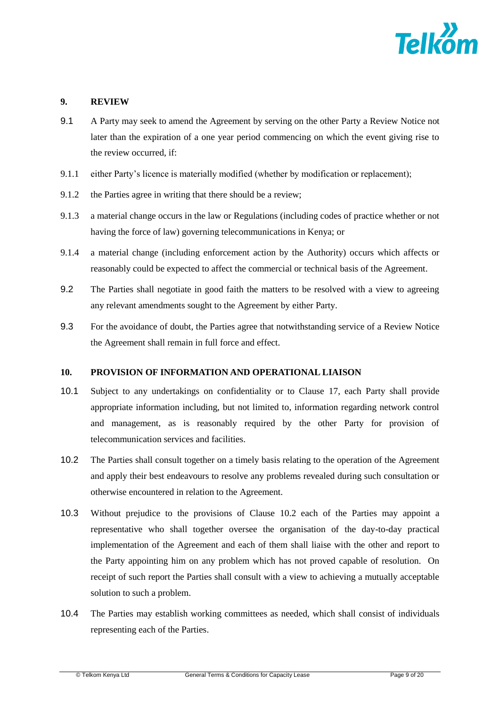

# **9. REVIEW**

- 9.1 A Party may seek to amend the Agreement by serving on the other Party a Review Notice not later than the expiration of a one year period commencing on which the event giving rise to the review occurred, if:
- 9.1.1 either Party's licence is materially modified (whether by modification or replacement);
- 9.1.2 the Parties agree in writing that there should be a review;
- 9.1.3 a material change occurs in the law or Regulations (including codes of practice whether or not having the force of law) governing telecommunications in Kenya; or
- 9.1.4 a material change (including enforcement action by the Authority) occurs which affects or reasonably could be expected to affect the commercial or technical basis of the Agreement.
- 9.2 The Parties shall negotiate in good faith the matters to be resolved with a view to agreeing any relevant amendments sought to the Agreement by either Party.
- 9.3 For the avoidance of doubt, the Parties agree that notwithstanding service of a Review Notice the Agreement shall remain in full force and effect.

# **10. PROVISION OF INFORMATION AND OPERATIONAL LIAISON**

- 10.1 Subject to any undertakings on confidentiality or to Clause [17,](#page-13-0) each Party shall provide appropriate information including, but not limited to, information regarding network control and management, as is reasonably required by the other Party for provision of telecommunication services and facilities.
- <span id="page-8-0"></span>10.2 The Parties shall consult together on a timely basis relating to the operation of the Agreement and apply their best endeavours to resolve any problems revealed during such consultation or otherwise encountered in relation to the Agreement.
- 10.3 Without prejudice to the provisions of Clause [10.2](#page-8-0) each of the Parties may appoint a representative who shall together oversee the organisation of the day-to-day practical implementation of the Agreement and each of them shall liaise with the other and report to the Party appointing him on any problem which has not proved capable of resolution. On receipt of such report the Parties shall consult with a view to achieving a mutually acceptable solution to such a problem.
- 10.4 The Parties may establish working committees as needed, which shall consist of individuals representing each of the Parties.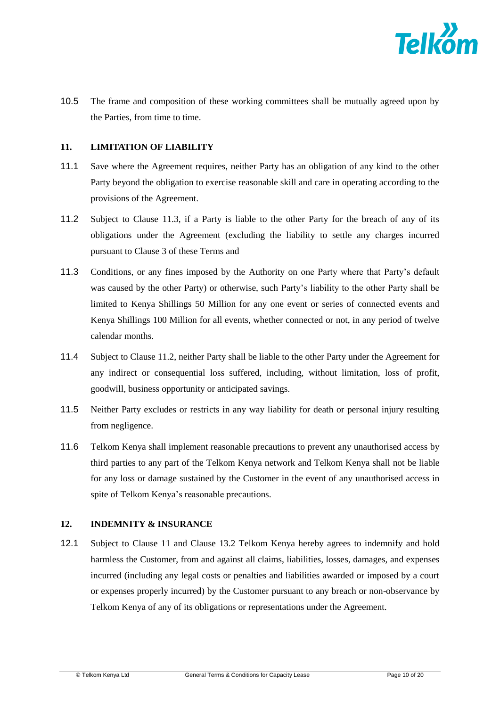

10.5 The frame and composition of these working committees shall be mutually agreed upon by the Parties, from time to time.

### <span id="page-9-2"></span>**11. LIMITATION OF LIABILITY**

- 11.1 Save where the Agreement requires, neither Party has an obligation of any kind to the other Party beyond the obligation to exercise reasonable skill and care in operating according to the provisions of the Agreement.
- <span id="page-9-1"></span>11.2 Subject to Clause [11.3,](#page-9-0) if a Party is liable to the other Party for the breach of any of its obligations under the Agreement (excluding the liability to settle any charges incurred pursuant to Clause [3](#page-4-1) of these Terms and
- 11.3 Conditions, or any fines imposed by the Authority on one Party where that Party's default was caused by the other Party) or otherwise, such Party's liability to the other Party shall be limited to Kenya Shillings 50 Million for any one event or series of connected events and Kenya Shillings 100 Million for all events, whether connected or not, in any period of twelve calendar months.
- <span id="page-9-0"></span>11.4 Subject to Clause [11.2,](#page-9-1) neither Party shall be liable to the other Party under the Agreement for any indirect or consequential loss suffered, including, without limitation, loss of profit, goodwill, business opportunity or anticipated savings.
- 11.5 Neither Party excludes or restricts in any way liability for death or personal injury resulting from negligence.
- 11.6 Telkom Kenya shall implement reasonable precautions to prevent any unauthorised access by third parties to any part of the Telkom Kenya network and Telkom Kenya shall not be liable for any loss or damage sustained by the Customer in the event of any unauthorised access in spite of Telkom Kenya's reasonable precautions.

### **12. INDEMNITY & INSURANCE**

12.1 Subject to Clause [11](#page-9-2) and Clause 13.2 Telkom Kenya hereby agrees to indemnify and hold harmless the Customer, from and against all claims, liabilities, losses, damages, and expenses incurred (including any legal costs or penalties and liabilities awarded or imposed by a court or expenses properly incurred) by the Customer pursuant to any breach or non-observance by Telkom Kenya of any of its obligations or representations under the Agreement.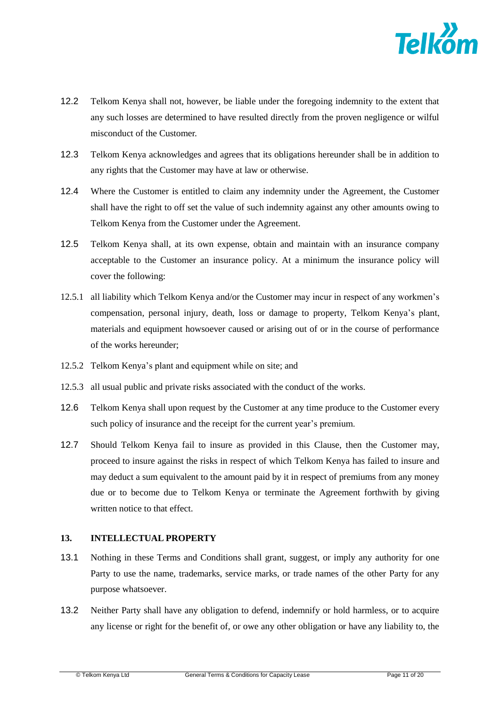

- 12.2 Telkom Kenya shall not, however, be liable under the foregoing indemnity to the extent that any such losses are determined to have resulted directly from the proven negligence or wilful misconduct of the Customer.
- 12.3 Telkom Kenya acknowledges and agrees that its obligations hereunder shall be in addition to any rights that the Customer may have at law or otherwise.
- 12.4 Where the Customer is entitled to claim any indemnity under the Agreement, the Customer shall have the right to off set the value of such indemnity against any other amounts owing to Telkom Kenya from the Customer under the Agreement.
- 12.5 Telkom Kenya shall, at its own expense, obtain and maintain with an insurance company acceptable to the Customer an insurance policy. At a minimum the insurance policy will cover the following:
- 12.5.1 all liability which Telkom Kenya and/or the Customer may incur in respect of any workmen's compensation, personal injury, death, loss or damage to property, Telkom Kenya's plant, materials and equipment howsoever caused or arising out of or in the course of performance of the works hereunder;
- 12.5.2 Telkom Kenya's plant and equipment while on site; and
- 12.5.3 all usual public and private risks associated with the conduct of the works.
- 12.6 Telkom Kenya shall upon request by the Customer at any time produce to the Customer every such policy of insurance and the receipt for the current year's premium.
- 12.7 Should Telkom Kenya fail to insure as provided in this Clause, then the Customer may, proceed to insure against the risks in respect of which Telkom Kenya has failed to insure and may deduct a sum equivalent to the amount paid by it in respect of premiums from any money due or to become due to Telkom Kenya or terminate the Agreement forthwith by giving written notice to that effect.

# **13. INTELLECTUAL PROPERTY**

- 13.1 Nothing in these Terms and Conditions shall grant, suggest, or imply any authority for one Party to use the name, trademarks, service marks, or trade names of the other Party for any purpose whatsoever.
- 13.2 Neither Party shall have any obligation to defend, indemnify or hold harmless, or to acquire any license or right for the benefit of, or owe any other obligation or have any liability to, the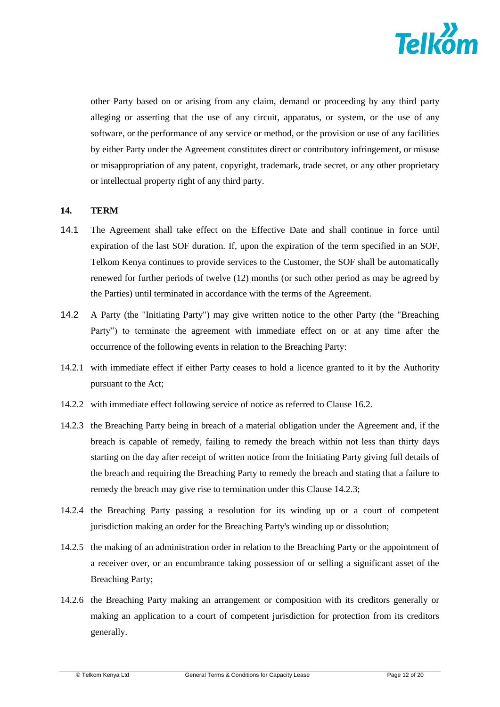

other Party based on or arising from any claim, demand or proceeding by any third party alleging or asserting that the use of any circuit, apparatus, or system, or the use of any software, or the performance of any service or method, or the provision or use of any facilities by either Party under the Agreement constitutes direct or contributory infringement, or misuse or misappropriation of any patent, copyright, trademark, trade secret, or any other proprietary or intellectual property right of any third party.

### <span id="page-11-1"></span>**14. TERM**

- 14.1 The Agreement shall take effect on the Effective Date and shall continue in force until expiration of the last SOF duration. If, upon the expiration of the term specified in an SOF, Telkom Kenya continues to provide services to the Customer, the SOF shall be automatically renewed for further periods of twelve (12) months (or such other period as may be agreed by the Parties) until terminated in accordance with the terms of the Agreement.
- 14.2 A Party (the "Initiating Party") may give written notice to the other Party (the "Breaching Party") to terminate the agreement with immediate effect on or at any time after the occurrence of the following events in relation to the Breaching Party:
- 14.2.1 with immediate effect if either Party ceases to hold a licence granted to it by the Authority pursuant to the Act;
- 14.2.2 with immediate effect following service of notice as referred to Clause [16.2.](#page-13-1)
- <span id="page-11-0"></span>14.2.3 the Breaching Party being in breach of a material obligation under the Agreement and, if the breach is capable of remedy, failing to remedy the breach within not less than thirty days starting on the day after receipt of written notice from the Initiating Party giving full details of the breach and requiring the Breaching Party to remedy the breach and stating that a failure to remedy the breach may give rise to termination under this Clause [14.2.3;](#page-11-0)
- 14.2.4 the Breaching Party passing a resolution for its winding up or a court of competent jurisdiction making an order for the Breaching Party's winding up or dissolution;
- 14.2.5 the making of an administration order in relation to the Breaching Party or the appointment of a receiver over, or an encumbrance taking possession of or selling a significant asset of the Breaching Party;
- 14.2.6 the Breaching Party making an arrangement or composition with its creditors generally or making an application to a court of competent jurisdiction for protection from its creditors generally.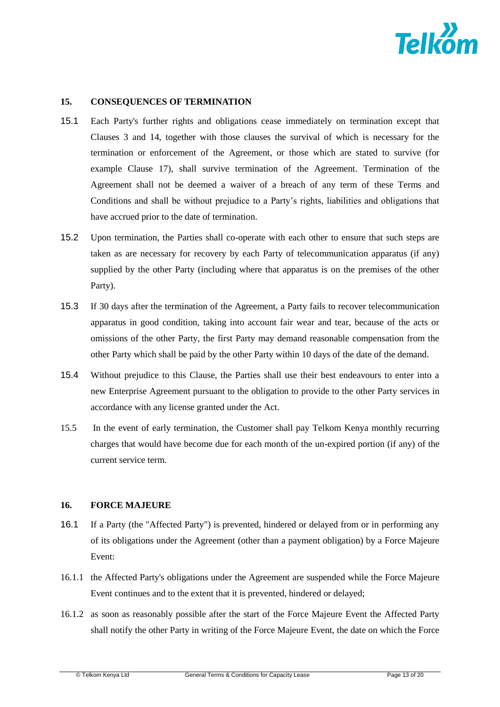

# **15. CONSEQUENCES OF TERMINATION**

- 15.1 Each Party's further rights and obligations cease immediately on termination except that Clauses 3 and [14,](#page-11-1) together with those clauses the survival of which is necessary for the termination or enforcement of the Agreement, or those which are stated to survive (for example Clause [17\)](#page-13-0), shall survive termination of the Agreement. Termination of the Agreement shall not be deemed a waiver of a breach of any term of these Terms and Conditions and shall be without prejudice to a Party's rights, liabilities and obligations that have accrued prior to the date of termination.
- 15.2 Upon termination, the Parties shall co-operate with each other to ensure that such steps are taken as are necessary for recovery by each Party of telecommunication apparatus (if any) supplied by the other Party (including where that apparatus is on the premises of the other Party).
- 15.3 If 30 days after the termination of the Agreement, a Party fails to recover telecommunication apparatus in good condition, taking into account fair wear and tear, because of the acts or omissions of the other Party, the first Party may demand reasonable compensation from the other Party which shall be paid by the other Party within 10 days of the date of the demand.
- 15.4 Without prejudice to this Clause, the Parties shall use their best endeavours to enter into a new Enterprise Agreement pursuant to the obligation to provide to the other Party services in accordance with any license granted under the Act.
- 15.5 In the event of early termination, the Customer shall pay Telkom Kenya monthly recurring charges that would have become due for each month of the un-expired portion (if any) of the current service term.

#### <span id="page-12-0"></span>**16. FORCE MAJEURE**

- 16.1 If a Party (the "Affected Party") is prevented, hindered or delayed from or in performing any of its obligations under the Agreement (other than a payment obligation) by a Force Majeure Event:
- <span id="page-12-2"></span>16.1.1 the Affected Party's obligations under the Agreement are suspended while the Force Majeure Event continues and to the extent that it is prevented, hindered or delayed;
- <span id="page-12-1"></span>16.1.2 as soon as reasonably possible after the start of the Force Majeure Event the Affected Party shall notify the other Party in writing of the Force Majeure Event, the date on which the Force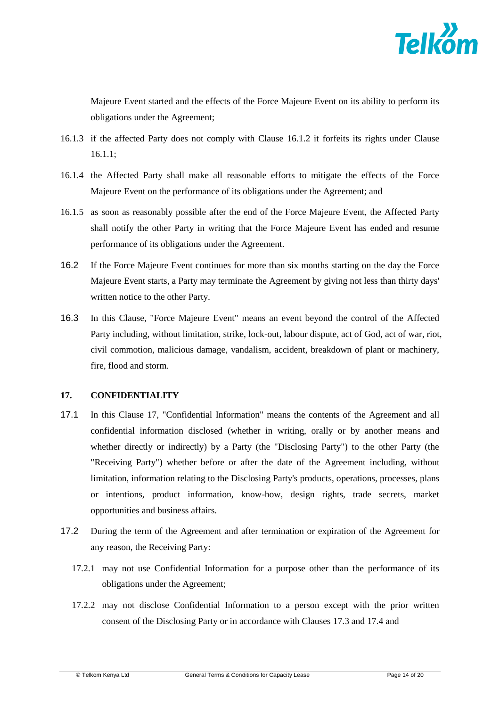

Majeure Event started and the effects of the Force Majeure Event on its ability to perform its obligations under the Agreement;

- 16.1.3 if the affected Party does not comply with Clause [16.1.2](#page-12-1) it forfeits its rights under Clause [16.1.1;](#page-12-2)
- 16.1.4 the Affected Party shall make all reasonable efforts to mitigate the effects of the Force Majeure Event on the performance of its obligations under the Agreement; and
- 16.1.5 as soon as reasonably possible after the end of the Force Majeure Event, the Affected Party shall notify the other Party in writing that the Force Majeure Event has ended and resume performance of its obligations under the Agreement.
- <span id="page-13-1"></span>16.2 If the Force Majeure Event continues for more than six months starting on the day the Force Majeure Event starts, a Party may terminate the Agreement by giving not less than thirty days' written notice to the other Party.
- 16.3 In this Clause, "Force Majeure Event" means an event beyond the control of the Affected Party including, without limitation, strike, lock-out, labour dispute, act of God, act of war, riot, civil commotion, malicious damage, vandalism, accident, breakdown of plant or machinery, fire, flood and storm.

### <span id="page-13-0"></span>**17. CONFIDENTIALITY**

- <span id="page-13-2"></span>17.1 In this Clause [17,](#page-13-0) "Confidential Information" means the contents of the Agreement and all confidential information disclosed (whether in writing, orally or by another means and whether directly or indirectly) by a Party (the "Disclosing Party") to the other Party (the "Receiving Party") whether before or after the date of the Agreement including, without limitation, information relating to the Disclosing Party's products, operations, processes, plans or intentions, product information, know-how, design rights, trade secrets, market opportunities and business affairs.
- 17.2 During the term of the Agreement and after termination or expiration of the Agreement for any reason, the Receiving Party:
	- 17.2.1 may not use Confidential Information for a purpose other than the performance of its obligations under the Agreement;
	- 17.2.2 may not disclose Confidential Information to a person except with the prior written consent of the Disclosing Party or in accordance with Clauses [17.3](#page-14-0) and [17.4](#page-14-1) and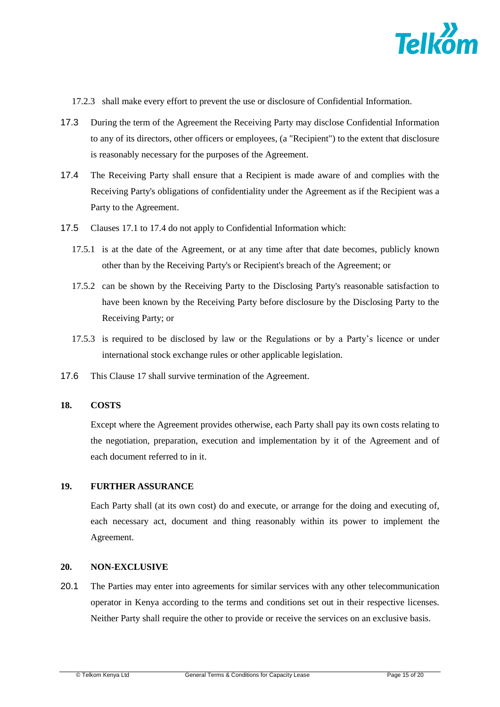

17.2.3 shall make every effort to prevent the use or disclosure of Confidential Information.

- <span id="page-14-0"></span>17.3 During the term of the Agreement the Receiving Party may disclose Confidential Information to any of its directors, other officers or employees, (a "Recipient") to the extent that disclosure is reasonably necessary for the purposes of the Agreement.
- <span id="page-14-1"></span>17.4 The Receiving Party shall ensure that a Recipient is made aware of and complies with the Receiving Party's obligations of confidentiality under the Agreement as if the Recipient was a Party to the Agreement.
- 17.5 Clauses [17.1](#page-13-2) to [17.4](#page-14-1) do not apply to Confidential Information which:
	- 17.5.1 is at the date of the Agreement, or at any time after that date becomes, publicly known other than by the Receiving Party's or Recipient's breach of the Agreement; or
	- 17.5.2 can be shown by the Receiving Party to the Disclosing Party's reasonable satisfaction to have been known by the Receiving Party before disclosure by the Disclosing Party to the Receiving Party; or
	- 17.5.3 is required to be disclosed by law or the Regulations or by a Party's licence or under international stock exchange rules or other applicable legislation.
- 17.6 This Clause [17](#page-13-0) shall survive termination of the Agreement.

#### **18. COSTS**

Except where the Agreement provides otherwise, each Party shall pay its own costs relating to the negotiation, preparation, execution and implementation by it of the Agreement and of each document referred to in it.

#### **19. FURTHER ASSURANCE**

Each Party shall (at its own cost) do and execute, or arrange for the doing and executing of, each necessary act, document and thing reasonably within its power to implement the Agreement.

### **20. NON-EXCLUSIVE**

20.1 The Parties may enter into agreements for similar services with any other telecommunication operator in Kenya according to the terms and conditions set out in their respective licenses. Neither Party shall require the other to provide or receive the services on an exclusive basis.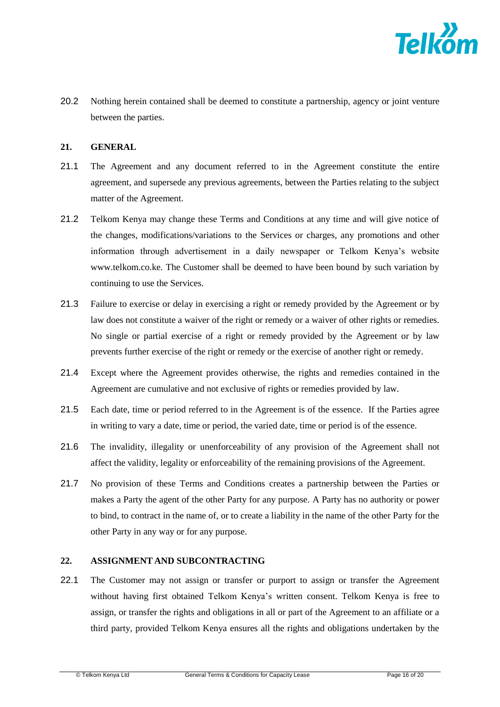

20.2 Nothing herein contained shall be deemed to constitute a partnership, agency or joint venture between the parties.

### **21. GENERAL**

- 21.1 The Agreement and any document referred to in the Agreement constitute the entire agreement, and supersede any previous agreements, between the Parties relating to the subject matter of the Agreement.
- 21.2 Telkom Kenya may change these Terms and Conditions at any time and will give notice of the changes, modifications/variations to the Services or charges, any promotions and other information through advertisement in a daily newspaper or Telkom Kenya's website www.telkom.co.ke. The Customer shall be deemed to have been bound by such variation by continuing to use the Services.
- 21.3 Failure to exercise or delay in exercising a right or remedy provided by the Agreement or by law does not constitute a waiver of the right or remedy or a waiver of other rights or remedies. No single or partial exercise of a right or remedy provided by the Agreement or by law prevents further exercise of the right or remedy or the exercise of another right or remedy.
- 21.4 Except where the Agreement provides otherwise, the rights and remedies contained in the Agreement are cumulative and not exclusive of rights or remedies provided by law.
- 21.5 Each date, time or period referred to in the Agreement is of the essence. If the Parties agree in writing to vary a date, time or period, the varied date, time or period is of the essence.
- 21.6 The invalidity, illegality or unenforceability of any provision of the Agreement shall not affect the validity, legality or enforceability of the remaining provisions of the Agreement.
- 21.7 No provision of these Terms and Conditions creates a partnership between the Parties or makes a Party the agent of the other Party for any purpose. A Party has no authority or power to bind, to contract in the name of, or to create a liability in the name of the other Party for the other Party in any way or for any purpose.

### **22. ASSIGNMENT AND SUBCONTRACTING**

22.1 The Customer may not assign or transfer or purport to assign or transfer the Agreement without having first obtained Telkom Kenya's written consent. Telkom Kenya is free to assign, or transfer the rights and obligations in all or part of the Agreement to an affiliate or a third party, provided Telkom Kenya ensures all the rights and obligations undertaken by the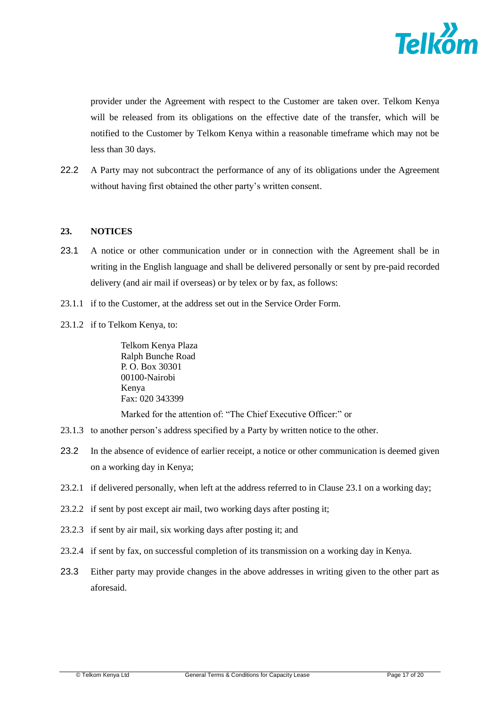

provider under the Agreement with respect to the Customer are taken over. Telkom Kenya will be released from its obligations on the effective date of the transfer, which will be notified to the Customer by Telkom Kenya within a reasonable timeframe which may not be less than 30 days.

22.2 A Party may not subcontract the performance of any of its obligations under the Agreement without having first obtained the other party's written consent.

## <span id="page-16-1"></span>**23. NOTICES**

- <span id="page-16-0"></span>23.1 A notice or other communication under or in connection with the Agreement shall be in writing in the English language and shall be delivered personally or sent by pre-paid recorded delivery (and air mail if overseas) or by telex or by fax, as follows:
- 23.1.1 if to the Customer, at the address set out in the Service Order Form.
- 23.1.2 if to Telkom Kenya, to:

Telkom Kenya Plaza Ralph Bunche Road P. O. Box 30301 00100-Nairobi Kenya Fax: 020 343399

Marked for the attention of: "The Chief Executive Officer:" or

- 23.1.3 to another person's address specified by a Party by written notice to the other.
- 23.2 In the absence of evidence of earlier receipt, a notice or other communication is deemed given on a working day in Kenya;
- 23.2.1 if delivered personally, when left at the address referred to in Clause [23.1](#page-16-0) on a working day;
- 23.2.2 if sent by post except air mail, two working days after posting it;
- 23.2.3 if sent by air mail, six working days after posting it; and
- 23.2.4 if sent by fax, on successful completion of its transmission on a working day in Kenya.
- 23.3 Either party may provide changes in the above addresses in writing given to the other part as aforesaid.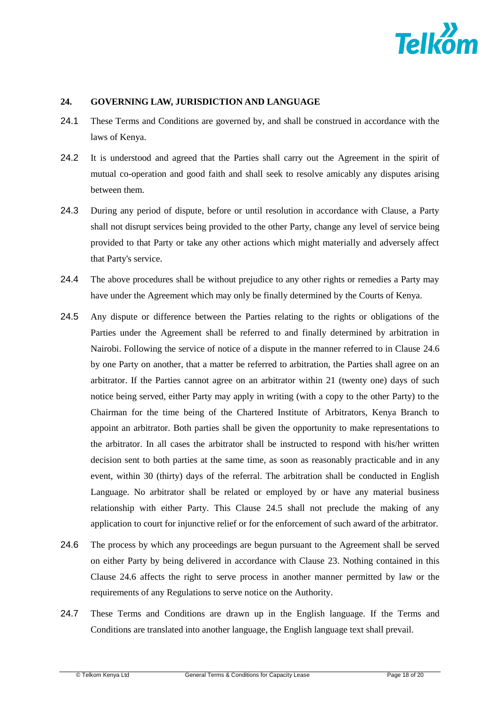

### <span id="page-17-0"></span>**24. GOVERNING LAW, JURISDICTION AND LANGUAGE**

- 24.1 These Terms and Conditions are governed by, and shall be construed in accordance with the laws of Kenya.
- 24.2 It is understood and agreed that the Parties shall carry out the Agreement in the spirit of mutual co-operation and good faith and shall seek to resolve amicably any disputes arising between them.
- 24.3 During any period of dispute, before or until resolution in accordance with Clause, a Party shall not disrupt services being provided to the other Party, change any level of service being provided to that Party or take any other actions which might materially and adversely affect that Party's service.
- 24.4 The above procedures shall be without prejudice to any other rights or remedies a Party may have under the Agreement which may only be finally determined by the Courts of Kenya.
- <span id="page-17-2"></span>24.5 Any dispute or difference between the Parties relating to the rights or obligations of the Parties under the Agreement shall be referred to and finally determined by arbitration in Nairobi. Following the service of notice of a dispute in the manner referred to in Clause [24.6](#page-17-1) by one Party on another, that a matter be referred to arbitration, the Parties shall agree on an arbitrator. If the Parties cannot agree on an arbitrator within 21 (twenty one) days of such notice being served, either Party may apply in writing (with a copy to the other Party) to the Chairman for the time being of the Chartered Institute of Arbitrators, Kenya Branch to appoint an arbitrator. Both parties shall be given the opportunity to make representations to the arbitrator. In all cases the arbitrator shall be instructed to respond with his/her written decision sent to both parties at the same time, as soon as reasonably practicable and in any event, within 30 (thirty) days of the referral. The arbitration shall be conducted in English Language. No arbitrator shall be related or employed by or have any material business relationship with either Party. This Clause [24.5](#page-17-2) shall not preclude the making of any application to court for injunctive relief or for the enforcement of such award of the arbitrator.
- <span id="page-17-1"></span>24.6 The process by which any proceedings are begun pursuant to the Agreement shall be served on either Party by being delivered in accordance with Clause [23.](#page-16-1) Nothing contained in this Clause [24.6](#page-17-1) affects the right to serve process in another manner permitted by law or the requirements of any Regulations to serve notice on the Authority.
- 24.7 These Terms and Conditions are drawn up in the English language. If the Terms and Conditions are translated into another language, the English language text shall prevail.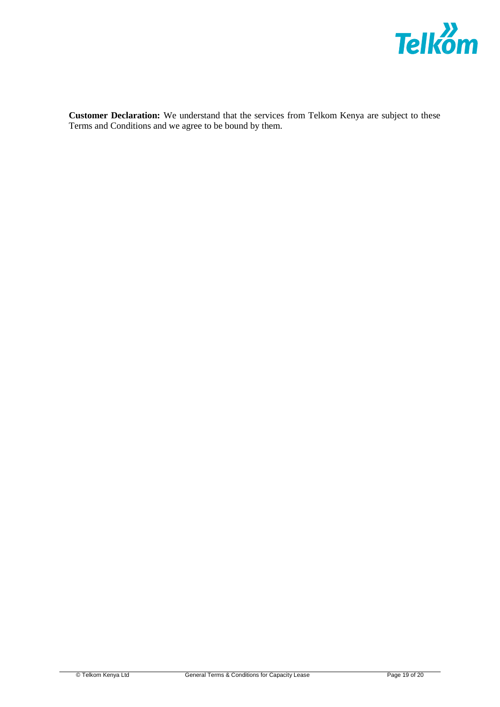

**Customer Declaration:** We understand that the services from Telkom Kenya are subject to these Terms and Conditions and we agree to be bound by them.